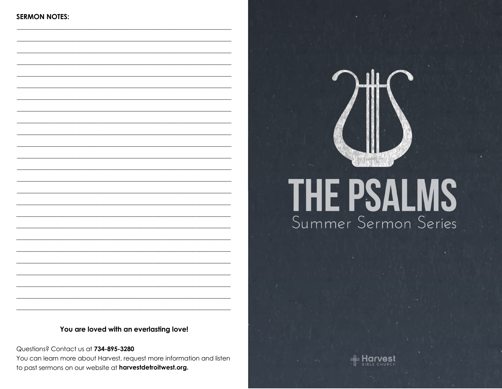# THE PSALMS Summer Sermon Series

#### You are loved with an everlasting love!

Questions? Contact us at 734-895-3280 You can learn more about Harvest, request more information and listen to past sermons on our website at harvestdetroitwest.org.